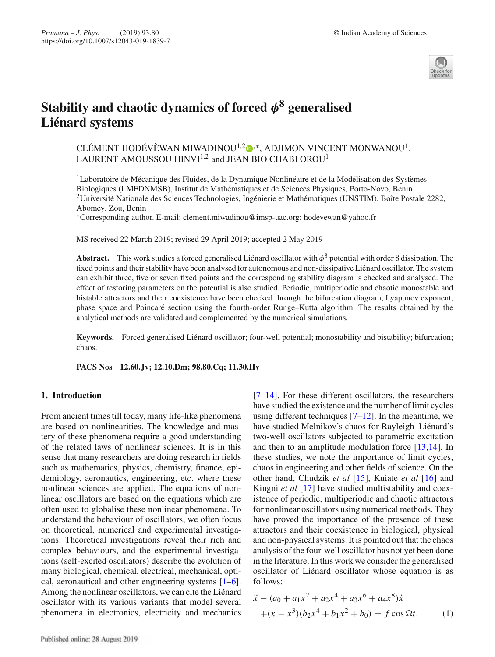

# **Stability and chaotic dynamics of forced** *φ***<sup>8</sup> generalised Liénard systems**

CLÉMENT HODÉVÈWAN MIWADINOU $^{1,2}$ o $^{,\ast},$  ADJIMON VINCENT MONWANOU $^{1},$ LAURENT AMOUSSOU HINVI $^{1,2}$  and JEAN BIO CHABI OROU $^{\rm 1}$ 

1Laboratoire de Mécanique des Fluides, de la Dynamique Nonlinéaire et de la Modélisation des Systèmes Biologiques (LMFDNMSB), Institut de Mathématiques et de Sciences Physiques, Porto-Novo, Benin <sup>2</sup>Université Nationale des Sciences Technologies, Ingénierie et Mathématiques (UNSTIM), Boîte Postale 2282, Abomey, Zou, Benin

∗Corresponding author. E-mail: clement.miwadinou@imsp-uac.org; hodevewan@yahoo.fr

MS received 22 March 2019; revised 29 April 2019; accepted 2 May 2019

**Abstract.** This work studies a forced generalised Liénard oscillator with  $\phi^8$  potential with order 8 dissipation. The fixed points and their stability have been analysed for autonomous and non-dissipative Liénard oscillator. The system can exhibit three, five or seven fixed points and the corresponding stability diagram is checked and analysed. The effect of restoring parameters on the potential is also studied. Periodic, multiperiodic and chaotic monostable and bistable attractors and their coexistence have been checked through the bifurcation diagram, Lyapunov exponent, phase space and Poincaré section using the fourth-order Runge–Kutta algorithm. The results obtained by the analytical methods are validated and complemented by the numerical simulations.

**Keywords.** Forced generalised Liénard oscillator; four-well potential; monostability and bistability; bifurcation; chaos.

**PACS Nos 12.60.Jv; 12.10.Dm; 98.80.Cq; 11.30.Hv**

## **1. Introduction**

From ancient times till today, many life-like phenomena are based on nonlinearities. The knowledge and mastery of these phenomena require a good understanding of the related laws of nonlinear sciences. It is in this sense that many researchers are doing research in fields such as mathematics, physics, chemistry, finance, epidemiology, aeronautics, engineering, etc. where these nonlinear sciences are applied. The equations of nonlinear oscillators are based on the equations which are often used to globalise these nonlinear phenomena. To understand the behaviour of oscillators, we often focus on theoretical, numerical and experimental investigations. Theoretical investigations reveal their rich and complex behaviours, and the experimental investigations (self-excited oscillators) describe the evolution of many biological, chemical, electrical, mechanical, optical, aeronautical and other engineering systems [1–6]. Among the nonlinear oscillators, we can cite the Liénard oscillator with its various variants that model several phenomena in electronics, electricity and mechanics [7–14]. For these different oscillators, the researchers have studied the existence and the number of limit cycles using different techniques  $[7-12]$ . In the meantime, we have studied Melnikov's chaos for Rayleigh–Liénard's two-well oscillators subjected to parametric excitation and then to an amplitude modulation force [13,14]. In these studies, we note the importance of limit cycles, chaos in engineering and other fields of science. On the other hand, Chudzik *et al* [15], Kuiate *et al* [16] and Kingni *et al* [17] have studied multistability and coexistence of periodic, multiperiodic and chaotic attractors for nonlinear oscillators using numerical methods. They have proved the importance of the presence of these attractors and their coexistence in biological, physical and non-physical systems. It is pointed out that the chaos analysis of the four-well oscillator has not yet been done in the literature. In this work we consider the generalised oscillator of Liénard oscillator whose equation is as follows:

$$
\ddot{x} - (a_0 + a_1 x^2 + a_2 x^4 + a_3 x^6 + a_4 x^8) \dot{x}
$$
  
 
$$
+ (x - x^3)(b_2 x^4 + b_1 x^2 + b_0) = f \cos \Omega t.
$$
 (1)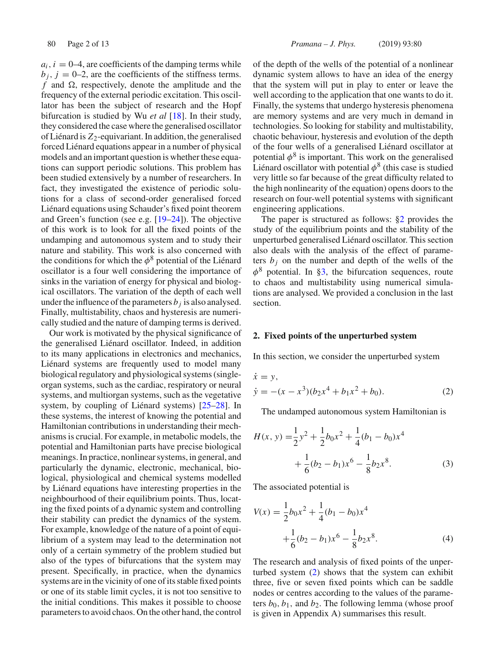$a_i$ ,  $i = 0-4$ , are coefficients of the damping terms while  $b_j$ ,  $j = 0-2$ , are the coefficients of the stiffness terms.  $f$  and  $\Omega$ , respectively, denote the amplitude and the frequency of the external periodic excitation. This oscillator has been the subject of research and the Hopf bifurcation is studied by Wu *et al* [18]. In their study, they considered the case where the generalised oscillator of Liénard is  $Z_2$ -equivariant. In addition, the generalised forced Liénard equations appear in a number of physical models and an important question is whether these equations can support periodic solutions. This problem has been studied extensively by a number of researchers. In fact, they investigated the existence of periodic solutions for a class of second-order generalised forced Liénard equations using Schauder's fixed point theorem and Green's function (see e.g. [19–24]). The objective of this work is to look for all the fixed points of the undamping and autonomous system and to study their nature and stability. This work is also concerned with the conditions for which the  $\phi^8$  potential of the Liénard oscillator is a four well considering the importance of sinks in the variation of energy for physical and biological oscillators. The variation of the depth of each well under the influence of the parameters  $b_j$  is also analysed. Finally, multistability, chaos and hysteresis are numerically studied and the nature of damping terms is derived.

Our work is motivated by the physical significance of the generalised Liénard oscillator. Indeed, in addition to its many applications in electronics and mechanics, Liénard systems are frequently used to model many biological regulatory and physiological systems (singleorgan systems, such as the cardiac, respiratory or neural systems, and multiorgan systems, such as the vegetative system, by coupling of Liénard systems) [25–28]. In these systems, the interest of knowing the potential and Hamiltonian contributions in understanding their mechanisms is crucial. For example, in metabolic models, the potential and Hamiltonian parts have precise biological meanings. In practice, nonlinear systems, in general, and particularly the dynamic, electronic, mechanical, biological, physiological and chemical systems modelled by Liénard equations have interesting properties in the neighbourhood of their equilibrium points. Thus, locating the fixed points of a dynamic system and controlling their stability can predict the dynamics of the system. For example, knowledge of the nature of a point of equilibrium of a system may lead to the determination not only of a certain symmetry of the problem studied but also of the types of bifurcations that the system may present. Specifically, in practice, when the dynamics systems are in the vicinity of one of its stable fixed points or one of its stable limit cycles, it is not too sensitive to the initial conditions. This makes it possible to choose parameters to avoid chaos. On the other hand, the control of the depth of the wells of the potential of a nonlinear dynamic system allows to have an idea of the energy that the system will put in play to enter or leave the well according to the application that one wants to do it. Finally, the systems that undergo hysteresis phenomena are memory systems and are very much in demand in technologies. So looking for stability and multistability, chaotic behaviour, hysteresis and evolution of the depth of the four wells of a generalised Liénard oscillator at potential  $\phi^8$  is important. This work on the generalised Liénard oscillator with potential  $\phi^8$  (this case is studied very little so far because of the great difficulty related to the high nonlinearity of the equation) opens doors to the research on four-well potential systems with significant engineering applications.

The paper is structured as follows: §2 provides the study of the equilibrium points and the stability of the unperturbed generalised Liénard oscillator. This section also deals with the analysis of the effect of parameters  $b_i$  on the number and depth of the wells of the  $\phi^8$  potential. In §3, the bifurcation sequences, route to chaos and multistability using numerical simulations are analysed. We provided a conclusion in the last section.

### **2. Fixed points of the unperturbed system**

In this section, we consider the unperturbed system

$$
\dot{x} = y,\n\dot{y} = -(x - x^3)(b_2x^4 + b_1x^2 + b_0).
$$
\n(2)

The undamped autonomous system Hamiltonian is

$$
H(x, y) = \frac{1}{2}y^2 + \frac{1}{2}b_0x^2 + \frac{1}{4}(b_1 - b_0)x^4
$$
  
+ 
$$
\frac{1}{6}(b_2 - b_1)x^6 - \frac{1}{8}b_2x^8.
$$
 (3)

The associated potential is

$$
V(x) = \frac{1}{2}b_0x^2 + \frac{1}{4}(b_1 - b_0)x^4
$$
  
 
$$
+ \frac{1}{6}(b_2 - b_1)x^6 - \frac{1}{8}b_2x^8.
$$
 (4)

The research and analysis of fixed points of the unperturbed system (2) shows that the system can exhibit three, five or seven fixed points which can be saddle nodes or centres according to the values of the parameters  $b_0$ ,  $b_1$ , and  $b_2$ . The following lemma (whose proof is given in Appendix A) summarises this result.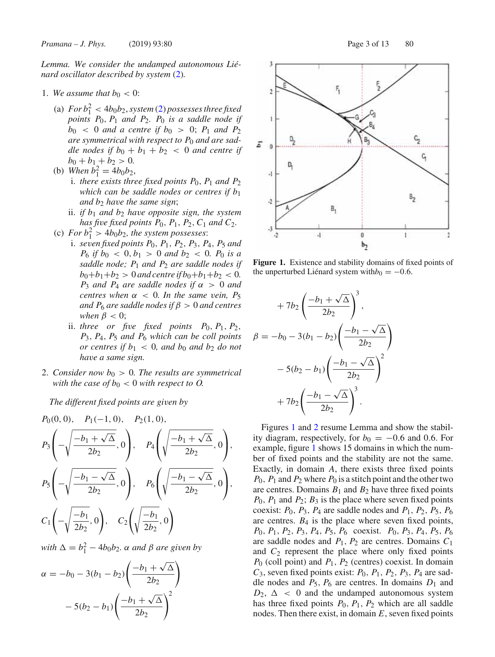*Lemma. We consider the undamped autonomous Liénard oscillator described by system* (2)*.*

- 1. We assume that  $b_0 < 0$ :
	- (a)  $For b_1^2 < 4b_0b_2, system (2) possesses three fixed$ *points P*0, *P*<sup>1</sup> *and P*2*. P*<sup>0</sup> *is a saddle node if*  $b_0 < 0$  *and a centre if*  $b_0 > 0$ ;  $P_1$  *and*  $P_2$ *are symmetrical with respect to P*<sup>0</sup> *and are saddle nodes if*  $b_0 + b_1 + b_2 < 0$  *and centre if*  $b_0 + b_1 + b_2 > 0.$
	- (b) *When*  $b_1^2 = 4b_0b_2$ ,
		- *i. there exists three fixed points*  $P_0$ ,  $P_1$  *and*  $P_2$ *which can be saddle nodes or centres if b*<sup>1</sup> *and b*<sup>2</sup> *have the same sign*;
		- ii. *if b*<sup>1</sup> *and b*<sup>2</sup> *have opposite sign, the system has five fixed points P*0, *P*1, *P*2,*C*<sup>1</sup> *and C*2*.*
	- (c) For  $b_1^2 > 4b_0b_2$ , the system possesses:
		- i. *seven fixed points P*0, *P*1, *P*2, *P*3, *P*4, *P*<sup>5</sup> *and P*<sup>6</sup> *if b*<sup>0</sup> < 0, *b*<sup>1</sup> > 0 *and b*<sup>2</sup> < 0*. P*<sup>0</sup> *is a saddle node; P*<sup>1</sup> *and P*<sup>2</sup> *are saddle nodes if*  $b_0+b_1+b_2 > 0$  *and centre if*  $b_0+b_1+b_2 < 0$ *. P*<sub>3</sub> *and P*<sub>4</sub> *are saddle nodes if*  $\alpha > 0$  *and centres when*  $\alpha$  < 0*. In the same vein, P*<sub>5</sub> *and*  $P_6$  *are saddle nodes if*  $\beta > 0$  *and centres when*  $\beta$  < 0;
			- ii. *three* or five fixed points  $P_0$ ,  $P_1$ ,  $P_2$ , *P*3, *P*4, *P*<sup>5</sup> *and P*<sup>6</sup> *which can be coll points or centres if*  $b_1 < 0$ *, and*  $b_0$  *and*  $b_2$  *do not have a same sign.*
- 2. *Consider now*  $b_0 > 0$ *. The results are symmetrical with the case of*  $b_0 < 0$  *with respect to O*.

*The different fixed points are given by*

$$
P_0(0,0), P_1(-1,0), P_2(1,0),
$$
  
\n
$$
P_3\left(-\sqrt{\frac{-b_1+\sqrt{\Delta}}{2b_2}},0\right), P_4\left(\sqrt{\frac{-b_1+\sqrt{\Delta}}{2b_2}},0\right),
$$
  
\n
$$
P_5\left(-\sqrt{\frac{-b_1-\sqrt{\Delta}}{2b_2}},0\right), P_6\left(\sqrt{\frac{-b_1-\sqrt{\Delta}}{2b_2}},0\right),
$$
  
\n
$$
C_1\left(-\sqrt{\frac{-b_1}{2b_2}},0\right), C_2\left(\sqrt{\frac{-b_1}{2b_2}},0\right)
$$

 $with \Delta = b_1^2 - 4b_0b_2$ .  $\alpha$  *and*  $\beta$  *are given by* 

$$
\alpha = -b_0 - 3(b_1 - b_2) \left( \frac{-b_1 + \sqrt{\Delta}}{2b_2} \right) - 5(b_2 - b_1) \left( \frac{-b_1 + \sqrt{\Delta}}{2b_2} \right)^2
$$



**Figure 1.** Existence and stability domains of fixed points of the unperturbed Liénard system with $b_0 = -0.6$ .

$$
+7b_2\left(\frac{-b_1+\sqrt{\Delta}}{2b_2}\right)^3,
$$
  

$$
\beta = -b_0 - 3(b_1 - b_2)\left(\frac{-b_1-\sqrt{\Delta}}{2b_2}\right)
$$

$$
-5(b_2 - b_1)\left(\frac{-b_1-\sqrt{\Delta}}{2b_2}\right)^2
$$

$$
+7b_2\left(\frac{-b_1-\sqrt{\Delta}}{2b_2}\right)^3.
$$

Figures 1 and 2 resume Lemma and show the stability diagram, respectively, for  $b_0 = -0.6$  and 0.6. For example, figure 1 shows 15 domains in which the number of fixed points and the stability are not the same. Exactly, in domain *A*, there exists three fixed points  $P_0$ ,  $P_1$  and  $P_2$  where  $P_0$  is a stitch point and the other two are centres. Domains  $B_1$  and  $B_2$  have three fixed points *P*0, *P*<sup>1</sup> and *P*2; *B*<sup>3</sup> is the place where seven fixed points coexist:  $P_0$ ,  $P_3$ ,  $P_4$  are saddle nodes and  $P_1$ ,  $P_2$ ,  $P_5$ ,  $P_6$ are centres.  $B_4$  is the place where seven fixed points, *P*0, *P*1, *P*2, *P*3, *P*4, *P*5, *P*<sup>6</sup> coexist. *P*0, *P*3, *P*4, *P*5, *P*<sup>6</sup> are saddle nodes and *P*1, *P*<sup>2</sup> are centres. Domains *C*<sup>1</sup> and *C*<sup>2</sup> represent the place where only fixed points *P*<sup>0</sup> (coll point) and *P*1, *P*<sup>2</sup> (centres) coexist. In domain  $C_3$ , seven fixed points exist:  $P_0$ ,  $P_1$ ,  $P_2$ ,  $P_3$ ,  $P_4$  are saddle nodes and  $P_5$ ,  $P_6$  are centres. In domains  $D_1$  and  $D_2$ ,  $\Delta$  < 0 and the undamped autonomous system has three fixed points  $P_0$ ,  $P_1$ ,  $P_2$  which are all saddle nodes. Then there exist, in domain *E*, seven fixed points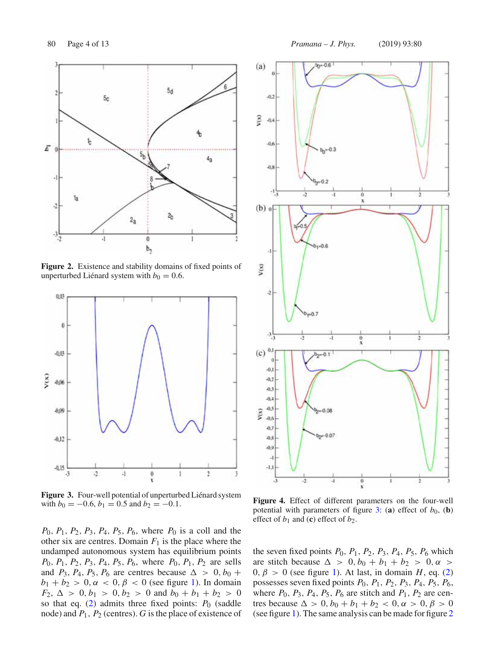

**Figure 2.** Existence and stability domains of fixed points of unperturbed Liénard system with  $b_0 = 0.6$ .



**Figure 3.** Four-well potential of unperturbed Liénard system with  $b_0 = -0.6$ ,  $b_1 = 0.5$  and  $b_2 = -0.1$ .

*P*0, *P*1, *P*2, *P*3, *P*4, *P*5, *P*6, where *P*<sup>0</sup> is a coll and the other six are centres. Domain  $F_1$  is the place where the undamped autonomous system has equilibrium points *P*0, *P*1, *P*2, *P*3, *P*4, *P*5, *P*6, where *P*0, *P*1, *P*<sup>2</sup> are sells and  $P_3$ ,  $P_4$ ,  $P_5$ ,  $P_6$  are centres because  $\Delta > 0$ ,  $b_0$  +  $b_1 + b_2 > 0$ ,  $\alpha < 0$ ,  $\beta < 0$  (see figure 1). In domain  $F_2$ ,  $\Delta > 0$ ,  $b_1 > 0$ ,  $b_2 > 0$  and  $b_0 + b_1 + b_2 > 0$ so that eq.  $(2)$  admits three fixed points:  $P_0$  (saddle node) and *P*1, *P*<sup>2</sup> (centres). *G* is the place of existence of



**Figure 4.** Effect of different parameters on the four-well potential with parameters of figure 3: (a) effect of  $b_0$ , (b) effect of  $b_1$  and (**c**) effect of  $b_2$ .

the seven fixed points  $P_0$ ,  $P_1$ ,  $P_2$ ,  $P_3$ ,  $P_4$ ,  $P_5$ ,  $P_6$  which are stitch because  $\Delta > 0$ ,  $b_0 + b_1 + b_2 > 0$ ,  $\alpha >$  $0, \beta > 0$  (see figure 1). At last, in domain *H*, eq. (2) possesses seven fixed points *P*0, *P*1, *P*2, *P*3, *P*4, *P*5, *P*6, where  $P_0$ ,  $P_3$ ,  $P_4$ ,  $P_5$ ,  $P_6$  are stitch and  $P_1$ ,  $P_2$  are centres because  $\Delta > 0$ ,  $b_0 + b_1 + b_2 < 0$ ,  $\alpha > 0$ ,  $\beta > 0$ (see figure 1). The same analysis can be made for figure 2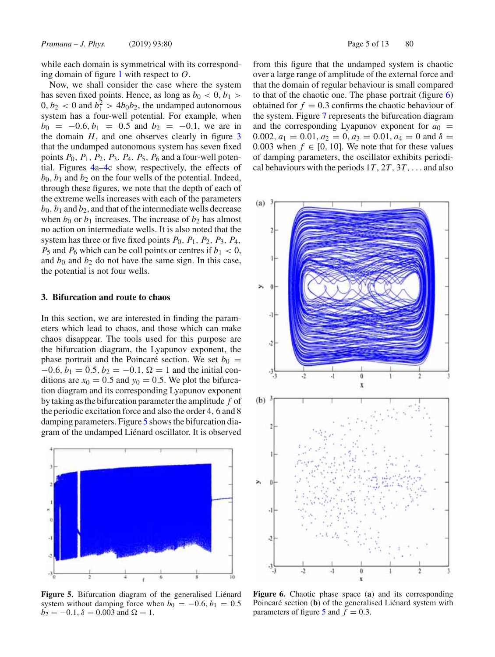while each domain is symmetrical with its corresponding domain of figure 1 with respect to *O*.

Now, we shall consider the case where the system has seven fixed points. Hence, as long as  $b_0 < 0, b_1 >$  $0, b_2 < 0$  and  $b_1^2 > 4b_0b_2$ , the undamped autonomous system has a four-well potential. For example, when  $b_0 = -0.6, b_1 = 0.5$  and  $b_2 = -0.1$ , we are in the domain  $H$ , and one observes clearly in figure  $3$ that the undamped autonomous system has seven fixed points *P*0, *P*1, *P*2, *P*3, *P*4, *P*5, *P*<sup>6</sup> and a four-well potential. Figures 4a–4c show, respectively, the effects of  $b_0$ ,  $b_1$  and  $b_2$  on the four wells of the potential. Indeed, through these figures, we note that the depth of each of the extreme wells increases with each of the parameters  $b_0$ ,  $b_1$  and  $b_2$ , and that of the intermediate wells decrease when  $b_0$  or  $b_1$  increases. The increase of  $b_2$  has almost no action on intermediate wells. It is also noted that the system has three or five fixed points  $P_0$ ,  $P_1$ ,  $P_2$ ,  $P_3$ ,  $P_4$ ,  $P_5$  and  $P_6$  which can be coll points or centres if  $b_1 < 0$ , and  $b_0$  and  $b_2$  do not have the same sign. In this case, the potential is not four wells.

### **3. Bifurcation and route to chaos**

In this section, we are interested in finding the parameters which lead to chaos, and those which can make chaos disappear. The tools used for this purpose are the bifurcation diagram, the Lyapunov exponent, the phase portrait and the Poincaré section. We set  $b_0$  =  $-0.6, b_1 = 0.5, b_2 = -0.1, \Omega = 1$  and the initial conditions are  $x_0 = 0.5$  and  $y_0 = 0.5$ . We plot the bifurcation diagram and its corresponding Lyapunov exponent by taking as the bifurcation parameter the amplitude *f* of the periodic excitation force and also the order 4, 6 and 8 damping parameters. Figure 5 shows the bifurcation diagram of the undamped Liénard oscillator. It is observed



**Figure 5.** Bifurcation diagram of the generalised Liénard system without damping force when  $b_0 = -0.6, b_1 = 0.5$  $b_2 = -0.1$ ,  $\delta = 0.003$  and  $\Omega = 1$ .

from this figure that the undamped system is chaotic over a large range of amplitude of the external force and that the domain of regular behaviour is small compared to that of the chaotic one. The phase portrait (figure 6) obtained for  $f = 0.3$  confirms the chaotic behaviour of the system. Figure 7 represents the bifurcation diagram and the corresponding Lyapunov exponent for  $a_0$  = 0.002,  $a_1 = 0.01$ ,  $a_2 = 0$ ,  $a_3 = 0.01$ ,  $a_4 = 0$  and  $\delta =$ 0.003 when  $f \in [0, 10]$ . We note that for these values of damping parameters, the oscillator exhibits periodical behaviours with the periods 1*T*, 2*T*, 3*T*,... and also



**Figure 6.** Chaotic phase space (**a**) and its corresponding Poincaré section (**b**) of the generalised Liénard system with parameters of figure 5 and  $f = 0.3$ .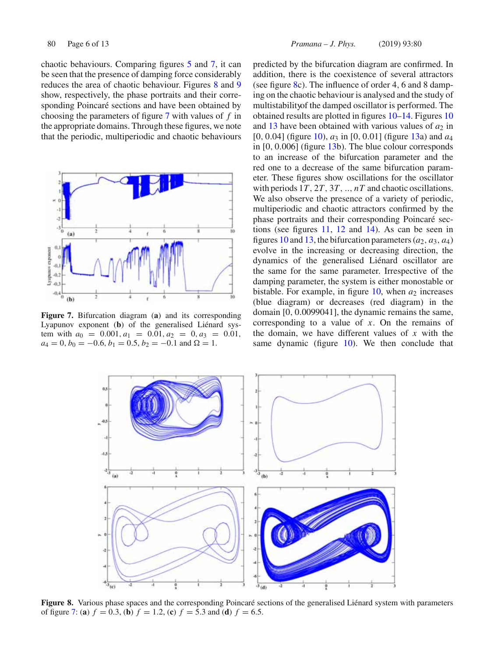chaotic behaviours. Comparing figures 5 and 7, it can be seen that the presence of damping force considerably reduces the area of chaotic behaviour. Figures 8 and 9 show, respectively, the phase portraits and their corresponding Poincaré sections and have been obtained by choosing the parameters of figure 7 with values of *f* in the appropriate domains. Through these figures, we note that the periodic, multiperiodic and chaotic behaviours



**Figure 7.** Bifurcation diagram (**a**) and its corresponding Lyapunov exponent (**b**) of the generalised Liénard system with  $a_0 = 0.001, a_1 = 0.01, a_2 = 0, a_3 = 0.01$ ,  $a_4 = 0, b_0 = -0.6, b_1 = 0.5, b_2 = -0.1$  and  $\Omega = 1$ .

predicted by the bifurcation diagram are confirmed. In addition, there is the coexistence of several attractors (see figure  $8c$ ). The influence of order 4, 6 and 8 damping on the chaotic behaviour is analysed and the study of multistabilityof the damped oscillator is performed. The obtained results are plotted in figures 10–14. Figures 10 and 13 have been obtained with various values of  $a_2$  in [0, 0.04] (figure 10), *a*<sup>3</sup> in [0, 0.01] (figure 13a) and *a*<sup>4</sup> in [0, 0.006] (figure 13b). The blue colour corresponds to an increase of the bifurcation parameter and the red one to a decrease of the same bifurcation parameter. These figures show oscillations for the oscillator with periods 1*T*, 2*T*, 3*T*, .., *nT* and chaotic oscillations. We also observe the presence of a variety of periodic, multiperiodic and chaotic attractors confirmed by the phase portraits and their corresponding Poincaré sections (see figures 11, 12 and 14). As can be seen in figures 10 and 13, the bifurcation parameters  $(a_2, a_3, a_4)$ evolve in the increasing or decreasing direction, the dynamics of the generalised Liénard oscillator are the same for the same parameter. Irrespective of the damping parameter, the system is either monostable or bistable. For example, in figure  $10$ , when  $a_2$  increases (blue diagram) or decreases (red diagram) in the domain [0, 0.0099041], the dynamic remains the same, corresponding to a value of *x*. On the remains of the domain, we have different values of *x* with the same dynamic (figure 10). We then conclude that



**Figure 8.** Various phase spaces and the corresponding Poincaré sections of the generalised Liénard system with parameters of figure 7: (a)  $f = 0.3$ , (b)  $f = 1.2$ , (c)  $f = 5.3$  and (d)  $f = 6.5$ .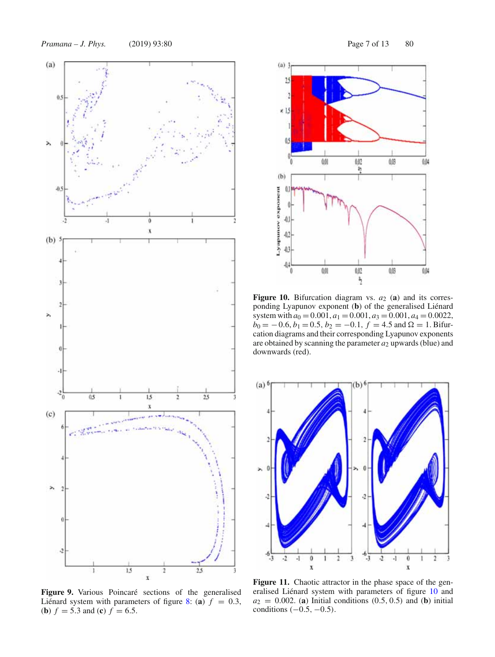*Pramana – J. Phys.* (2019) 93:80 Page 7 of 13 80



**Figure 9.** Various Poincaré sections of the generalised Liénard system with parameters of figure 8: (a)  $f = 0.3$ , (**b**)  $f = 5.3$  and (**c**)  $f = 6.5$ .



Figure 10. Bifurcation diagram vs.  $a_2$  (a) and its corresponding Lyapunov exponent (**b**) of the generalised Liénard system with  $a_0 = 0.001$ ,  $a_1 = 0.001$ ,  $a_3 = 0.001$ ,  $a_4 = 0.0022$ ,  $b_0 = -0.6, b_1 = 0.5, b_2 = -0.1, f = 4.5$  and  $\Omega = 1$ . Bifurcation diagrams and their corresponding Lyapunov exponents are obtained by scanning the parameter  $a_2$  upwards (blue) and downwards (red).



Figure 11. Chaotic attractor in the phase space of the generalised Liénard system with parameters of figure 10 and  $a_2 = 0.002$ . (**a**) Initial conditions  $(0.5, 0.5)$  and (**b**) initial conditions  $(-0.5, -0.5)$ .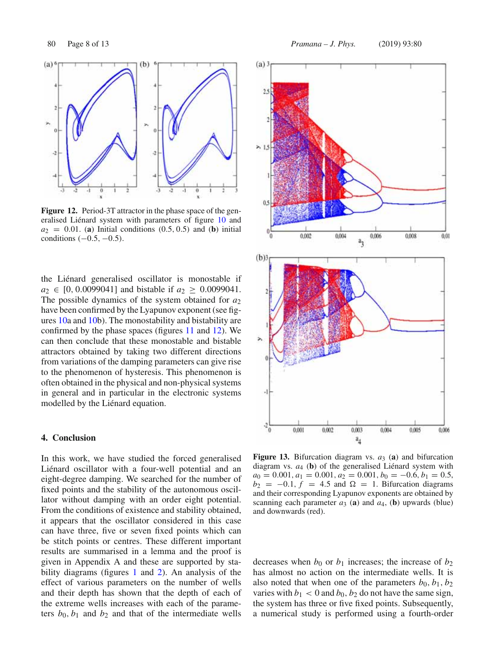

**Figure 12.** Period-3T attractor in the phase space of the generalised Liénard system with parameters of figure 10 and  $a_2 = 0.01$ . (**a**) Initial conditions  $(0.5, 0.5)$  and (**b**) initial conditions  $(-0.5, -0.5)$ .

the Liénard generalised oscillator is monostable if  $a_2 \in [0, 0.0099041]$  and bistable if  $a_2 \ge 0.0099041$ . The possible dynamics of the system obtained for *a*<sup>2</sup> have been confirmed by the Lyapunov exponent (see figures 10a and 10b). The monostability and bistability are confirmed by the phase spaces (figures 11 and 12). We can then conclude that these monostable and bistable attractors obtained by taking two different directions from variations of the damping parameters can give rise to the phenomenon of hysteresis. This phenomenon is often obtained in the physical and non-physical systems in general and in particular in the electronic systems modelled by the Liénard equation.

### **4. Conclusion**

In this work, we have studied the forced generalised Liénard oscillator with a four-well potential and an eight-degree damping. We searched for the number of fixed points and the stability of the autonomous oscillator without damping with an order eight potential. From the conditions of existence and stability obtained, it appears that the oscillator considered in this case can have three, five or seven fixed points which can be stitch points or centres. These different important results are summarised in a lemma and the proof is given in Appendix A and these are supported by stability diagrams (figures 1 and 2). An analysis of the effect of various parameters on the number of wells and their depth has shown that the depth of each of the extreme wells increases with each of the parameters  $b_0$ ,  $b_1$  and  $b_2$  and that of the intermediate wells



**Figure 13.** Bifurcation diagram vs. *a*<sup>3</sup> (**a**) and bifurcation diagram vs. *a*<sup>4</sup> (**b**) of the generalised Liénard system with *a*<sup>0</sup> = 0.001, *a*<sup>1</sup> = 0.001, *a*<sup>2</sup> = 0.001, *b*<sup>0</sup> = −0.6, *b*<sup>1</sup> = 0.5,  $b_2 = -0.1$ ,  $f = 4.5$  and  $\Omega = 1$ . Bifurcation diagrams and their corresponding Lyapunov exponents are obtained by scanning each parameter  $a_3$  (a) and  $a_4$ , (b) upwards (blue) and downwards (red).

decreases when  $b_0$  or  $b_1$  increases; the increase of  $b_2$ has almost no action on the intermediate wells. It is also noted that when one of the parameters  $b_0$ ,  $b_1$ ,  $b_2$ varies with  $b_1 < 0$  and  $b_0$ ,  $b_2$  do not have the same sign, the system has three or five fixed points. Subsequently, a numerical study is performed using a fourth-order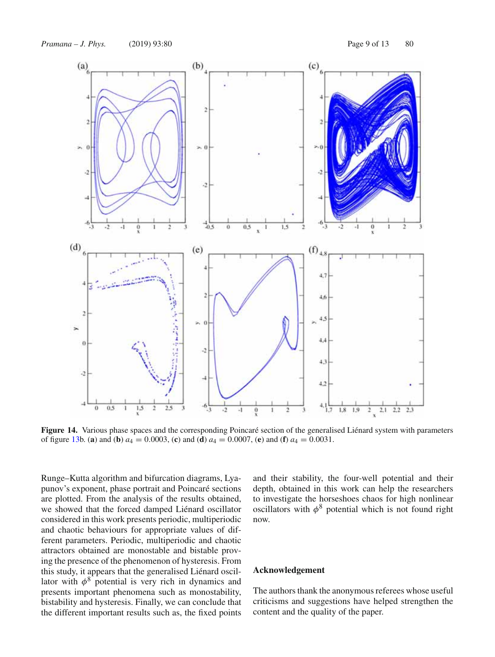

**Figure 14.** Various phase spaces and the corresponding Poincaré section of the generalised Liénard system with parameters of figure 13b. (a) and (b)  $a_4 = 0.0003$ , (c) and (d)  $a_4 = 0.0007$ , (e) and (f)  $a_4 = 0.0031$ .

Runge–Kutta algorithm and bifurcation diagrams, Lyapunov's exponent, phase portrait and Poincaré sections are plotted. From the analysis of the results obtained, we showed that the forced damped Liénard oscillator considered in this work presents periodic, multiperiodic and chaotic behaviours for appropriate values of different parameters. Periodic, multiperiodic and chaotic attractors obtained are monostable and bistable proving the presence of the phenomenon of hysteresis. From this study, it appears that the generalised Liénard oscillator with  $\phi^8$  potential is very rich in dynamics and presents important phenomena such as monostability, bistability and hysteresis. Finally, we can conclude that the different important results such as, the fixed points and their stability, the four-well potential and their depth, obtained in this work can help the researchers to investigate the horseshoes chaos for high nonlinear oscillators with  $\phi^8$  potential which is not found right now.

# **Acknowledgement**

The authors thank the anonymous referees whose useful criticisms and suggestions have helped strengthen the content and the quality of the paper.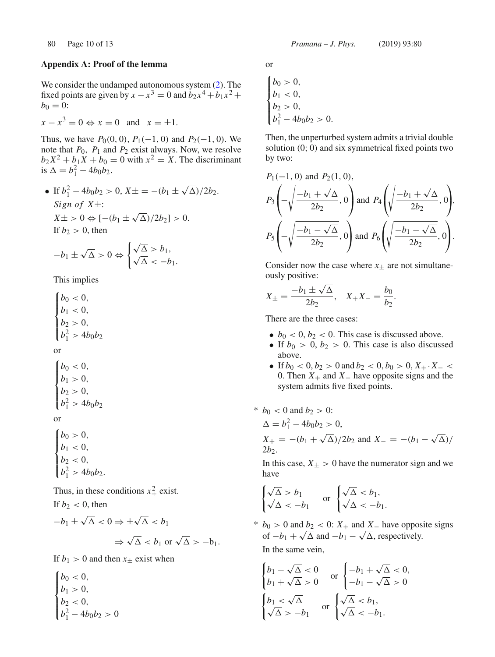# **Appendix A: Proof of the lemma**

We consider the undamped autonomous system (2). The fixed points are given by  $x - x^3 = 0$  and  $b_2x^4 + b_1x^2 + b_2x^3$  $b_0 = 0$ :

$$
x - x^3 = 0 \Leftrightarrow x = 0 \quad \text{and} \quad x = \pm 1.
$$

Thus, we have  $P_0(0, 0)$ ,  $P_1(-1, 0)$  and  $P_2(-1, 0)$ . We note that *P*0, *P*<sup>1</sup> and *P*<sup>2</sup> exist always. Now, we resolve  $b_2X^2 + b_1X + b_0 = 0$  with  $x^2 = X$ . The discriminant is  $\Delta = b_1^2 - 4b_0b_2$ .

• If 
$$
b_1^2 - 4b_0b_2 > 0
$$
,  $X \pm = -(b_1 \pm \sqrt{\Delta})/2b_2$ .  
\nSign of  $X \pm$ :  
\n $X \pm > 0 \Leftrightarrow [-(b_1 \pm \sqrt{\Delta})/2b_2] > 0$ .  
\nIf  $b_2 > 0$ , then

$$
-b_1 \pm \sqrt{\Delta} > 0 \Leftrightarrow \begin{cases} \sqrt{\Delta} > b_1, \\ \sqrt{\Delta} < -b_1. \end{cases}
$$

This implies

$$
\begin{cases} b_0 < 0, \\ b_1 < 0, \\ b_2 > 0, \\ b_1^2 > 4b_0b_2 \end{cases}
$$

or

$$
\begin{cases}\nb_0 < 0, \\
b_1 > 0, \\
b_2 > 0, \\
b_1^2 > 4b_0b_2\n\end{cases}
$$

or

$$
\begin{cases}\nb_0 > 0, \\
b_1 < 0, \\
b_2 < 0, \\
b_1^2 > 4b_0b_2.\n\end{cases}
$$

Thus, in these conditions  $x_{\pm}^2$  exist. If  $b_2 < 0$ , then

$$
-b_1 \pm \sqrt{\Delta} < 0 \Rightarrow \pm \sqrt{\Delta} < b_1
$$
\n
$$
\Rightarrow \sqrt{\Delta} < b_1 \text{ or } \sqrt{\Delta} > -b_1.
$$

If  $b_1 > 0$  and then  $x_{\pm}$  exist when

$$
\begin{cases} b_0 < 0, \\ b_1 > 0, \\ b_2 < 0, \\ b_1^2 - 4b_0b_2 > 0 \end{cases}
$$

or

$$
\begin{cases} b_0 > 0, \\ b_1 < 0, \\ b_2 > 0, \\ b_1^2 - 4b_0b_2 > 0. \end{cases}
$$

Then, the unperturbed system admits a trivial double solution (0; 0) and six symmetrical fixed points two by two:

$$
P_1(-1, 0) \text{ and } P_2(1, 0),
$$
  
\n
$$
P_3\left(-\sqrt{\frac{-b_1 + \sqrt{\Delta}}{2b_2}}, 0\right) \text{ and } P_4\left(\sqrt{\frac{-b_1 + \sqrt{\Delta}}{2b_2}}, 0\right),
$$
  
\n
$$
P_5\left(-\sqrt{\frac{-b_1 - \sqrt{\Delta}}{2b_2}}, 0\right) \text{ and } P_6\left(\sqrt{\frac{-b_1 - \sqrt{\Delta}}{2b_2}}, 0\right).
$$

Consider now the case where  $x_{\pm}$  are not simultaneously positive:

$$
X_{\pm} = \frac{-b_1 \pm \sqrt{\Delta}}{2b_2}, \quad X_{+}X_{-} = \frac{b_0}{b_2}.
$$

There are the three cases:

- $b_0 < 0$ ,  $b_2 < 0$ . This case is discussed above.
- If  $b_0 > 0$ ,  $b_2 > 0$ . This case is also discussed above.
- If  $b_0 < 0, b_2 > 0$  and  $b_2 < 0, b_0 > 0, X_+ \cdot X_-$ 0. Then *X*<sup>+</sup> and *X*<sup>−</sup> have opposite signs and the system admits five fixed points.
- \*  $b_0$  < 0 and  $b_2$  > 0:

$$
\Delta = b_1^2 - 4b_0b_2 > 0,
$$
  
\n
$$
X_+ = -(b_1 + \sqrt{\Delta})/2b_2
$$
 and 
$$
X_- = -(b_1 - \sqrt{\Delta})/2b_2.
$$

In this case,  $X_{\pm} > 0$  have the numerator sign and we have

$$
\begin{cases} \sqrt{\Delta} > b_1 \\ \sqrt{\Delta} < -b_1 \end{cases} \quad \text{or} \quad \begin{cases} \sqrt{\Delta} < b_1, \\ \sqrt{\Delta} < -b_1. \end{cases}
$$

\*  $b_0 > 0$  and  $b_2 < 0$ :  $X_+$  and  $X_-$  have opposite signs of  $-b_1 + \sqrt{\Delta}$  and  $-b_1 - \sqrt{\Delta}$ , respectively. In the same vein,

$$
\begin{cases} b_1 - \sqrt{\Delta} < 0 \\ b_1 + \sqrt{\Delta} > 0 \end{cases} \quad \text{or} \quad \begin{cases} -b_1 + \sqrt{\Delta} < 0, \\ -b_1 - \sqrt{\Delta} > 0 \end{cases}
$$
\n
$$
\begin{cases} b_1 < \sqrt{\Delta} \\ \sqrt{\Delta} > -b_1 \end{cases} \quad \text{or} \quad \begin{cases} \sqrt{\Delta} < b_1, \\ \sqrt{\Delta} < -b_1. \end{cases}
$$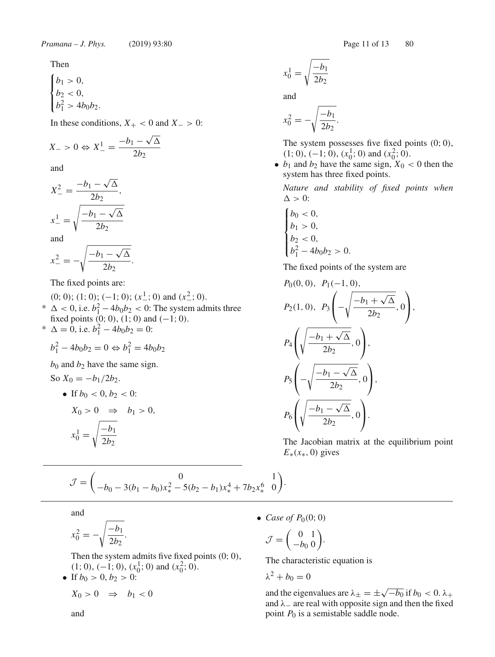Then

$$
\begin{cases} b_1 > 0, \\ b_2 < 0, \\ b_1^2 > 4b_0b_2. \end{cases}
$$

In these conditions,  $X_{+}$  < 0 and  $X_{-}$  > 0:

$$
X_{-} > 0 \Leftrightarrow X_{-}^{1} = \frac{-b_{1} - \sqrt{\Delta}}{2b_{2}}
$$

and

$$
X_{-}^{2} = \frac{-b_1 - \sqrt{\Delta}}{2b_2},
$$
  
\n
$$
x_{-}^{1} = \sqrt{\frac{-b_1 - \sqrt{\Delta}}{2b_2}}
$$
  
\nand  
\n
$$
x_{-}^{2} = -\sqrt{\frac{-b_1 - \sqrt{\Delta}}{2b_2}}.
$$

The fixed points are:

(0; 0); (1; 0); (-1; 0); ( $x^{\underline{1}}$ ; 0) and ( $x^{\underline{2}}$ ; 0). \*  $\Delta$  < 0, i.e.  $b_1^2 - 4b_0b_2$  < 0: The system admits three fixed points  $(0, 0)$ ,  $(1, 0)$  and  $(-1, 0)$ .

\*  $\Delta = 0$ , i.e.  $b_1^2 - 4b_0b_2 = 0$ :

$$
b_1^2 - 4b_0b_2 = 0 \Leftrightarrow b_1^2 = 4b_0b_2
$$

 $b_0$  and  $b_2$  have the same sign.

So 
$$
X_0 = -b_1/2b_2
$$
.

• If 
$$
b_0 < 0, b_2 < 0
$$
:  
\n $X_0 > 0 \Rightarrow b_1 > 0,$   
\n $x_0^1 = \sqrt{\frac{-b_1}{2b_2}}$ 

$$
x_0^1 = \sqrt{\frac{-b_1}{2b_2}}
$$

and

$$
x_0^2 = -\sqrt{\frac{-b_1}{2b_2}}.
$$

The system possesses five fixed points  $(0; 0)$ ,  $(1; 0), (-1; 0), (x_0^1; 0)$  and  $(x_0^2; 0)$ .

•  $b_1$  and  $b_2$  have the same sign,  $X_0 < 0$  then the system has three fixed points.

*Nature and stability of fixed points when*  $\Delta > 0$ :

$$
\begin{cases} b_0 < 0, \\ b_1 > 0, \\ b_2 < 0, \\ b_1^2 - 4b_0b_2 > 0. \end{cases}
$$

The fixed points of the system are

$$
P_0(0, 0), P_1(-1, 0),
$$
  
\n
$$
P_2(1, 0), P_3\left(-\sqrt{\frac{-b_1 + \sqrt{\Delta}}{2b_2}}, 0\right),
$$
  
\n
$$
P_4\left(\sqrt{\frac{-b_1 + \sqrt{\Delta}}{2b_2}}, 0\right),
$$
  
\n
$$
P_5\left(-\sqrt{\frac{-b_1 - \sqrt{\Delta}}{2b_2}}, 0\right),
$$
  
\n
$$
P_6\left(\sqrt{\frac{-b_1 - \sqrt{\Delta}}{2b_2}}, 0\right).
$$

The Jacobian matrix at the equilibrium point  $E_*(x_*, 0)$  gives

$$
\mathcal{J} = \begin{pmatrix} 0 & 1 \ -b_0 - 3(b_1 - b_0)x_*^2 - 5(b_2 - b_1)x_*^4 + 7b_2x_*^6 & 0 \end{pmatrix}.
$$

and

$$
x_0^2 = -\sqrt{\frac{-b_1}{2b_2}}
$$

Then the system admits five fixed points (0; 0),  $(1; 0), (-1; 0), (x_0<sup>1</sup>; 0)$  and  $(x_0<sup>2</sup>; 0)$ .

• If  $b_0 > 0, b_2 > 0$ :

 $X_0 > 0 \Rightarrow b_1 < 0$ 

.

• *Case of*  $P_0(0; 0)$ 

$$
\mathcal{J}=\left(\begin{smallmatrix}0&1\\-b_0&0\end{smallmatrix}\right)
$$

The characteristic equation is

.

$$
\lambda^2 + b_0 = 0
$$

and the eigenvalues are  $\lambda_{\pm} = \pm \sqrt{-b_0}$  if  $b_0 < 0$ .  $\lambda_{+}$ and  $\lambda$  are real with opposite sign and then the fixed point  $P_0$  is a semistable saddle node.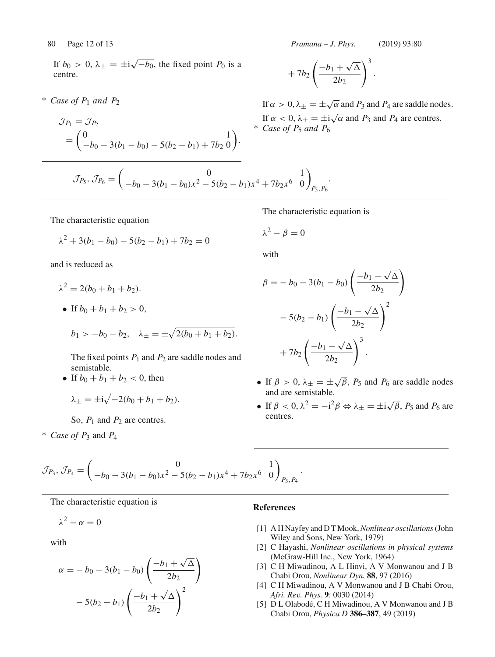80 Page 12 of 13 *Pramana – J. Phys.* (2019) 93:80

If  $b_0 > 0$ ,  $\lambda_{\pm} = \pm i \sqrt{-b_0}$ , the fixed point  $P_0$  is a centre.

 $*$  *Case of P<sub>1</sub> and P<sub>2</sub>* 

$$
\mathcal{J}_{P_1} = \mathcal{J}_{P_2}
$$
  
=  $\begin{pmatrix} 0 & 1 \\ -b_0 - 3(b_1 - b_0) - 5(b_2 - b_1) + 7b_2 & 0 \end{pmatrix}$ .

$$
+ 7b_2 \left( \frac{-b_1 + \sqrt{\Delta}}{2b_2} \right)^3.
$$

If  $\alpha > 0$ ,  $\lambda_+ = \pm \sqrt{\alpha}$  and  $P_3$  and  $P_4$  are saddle nodes. If  $\alpha < 0$ ,  $\lambda_{\pm} = \pm i \sqrt{\alpha}$  and  $P_3$  and  $P_4$  are centres.  $*$  *Case of P<sub>5</sub> and P<sub>6</sub>* 

$$
\mathcal{J}_{P_5}, \mathcal{J}_{P_6} = \begin{pmatrix} 0 & 1 \ -b_0 - 3(b_1 - b_0)x^2 - 5(b_2 - b_1)x^4 + 7b_2x^6 & 0 \end{pmatrix}_{P_5, P_6}.
$$

The characteristic equation

$$
\lambda^2 + 3(b_1 - b_0) - 5(b_2 - b_1) + 7b_2 = 0
$$

and is reduced as

- $\lambda^2 = 2(b_0 + b_1 + b_2).$
- If  $b_0 + b_1 + b_2 > 0$ ,

$$
b_1 > -b_0 - b_2
$$
,  $\lambda_{\pm} = \pm \sqrt{2(b_0 + b_1 + b_2)}$ .

The fixed points  $P_1$  and  $P_2$  are saddle nodes and semistable.

• If  $b_0 + b_1 + b_2 < 0$ , then

$$
\lambda_{\pm} = \pm \mathrm{i} \sqrt{-2(b_0+b_1+b_2)}.
$$

So,  $P_1$  and  $P_2$  are centres.

 $*$  *Case of P*<sub>3</sub> and *P*<sub>4</sub>

$$
\beta = -b_0 - 3(b_1 - b_0) \left( \frac{-b_1 - \sqrt{\Delta}}{2b_2} \right)
$$

$$
-5(b_2 - b_1) \left( \frac{-b_1 - \sqrt{\Delta}}{2b_2} \right)^2
$$

$$
+7b_2 \left( \frac{-b_1 - \sqrt{\Delta}}{2b_2} \right)^3.
$$

The characteristic equation is

 $\lambda^2 - \beta = 0$ 

with

- If  $\beta > 0$ ,  $\lambda_{\pm} = \pm \sqrt{\beta}$ ,  $P_5$  and  $P_6$  are saddle nodes and are semistable.
- If  $\beta < 0$ ,  $\lambda^2 = -i^2 \beta \Leftrightarrow \lambda_{\pm} = \pm i \sqrt{\beta}$ ,  $P_5$  and  $P_6$  are centres.

$$
\mathcal{J}_{P_3}, \mathcal{J}_{P_4} = \begin{pmatrix} 0 & 1 \ -b_0 - 3(b_1 - b_0)x^2 - 5(b_2 - b_1)x^4 + 7b_2x^6 & 0 \end{pmatrix}_{P_3, P_4}.
$$

The characteristic equation is

$$
\lambda^2 - \alpha = 0
$$

with

$$
\alpha = -b_0 - 3(b_1 - b_0) \left( \frac{-b_1 + \sqrt{\Delta}}{2b_2} \right) - 5(b_2 - b_1) \left( \frac{-b_1 + \sqrt{\Delta}}{2b_2} \right)^2
$$

# **References**

- [1] A H Nayfey and D T Mook,*Nonlinear oscillations*(John Wiley and Sons, New York, 1979)
- [2] C Hayashi, *Nonlinear oscillations in physical systems* (McGraw-Hill Inc., New York, 1964)
- [3] C H Miwadinou, A L Hinvi, A V Monwanou and J B Chabi Orou, *Nonlinear Dyn.* **88**, 97 (2016)
- [4] C H Miwadinou, A V Monwanou and J B Chabi Orou, *Afri. Rev. Phys.* **9**: 0030 (2014)
- [5] D L Olabodé, C H Miwadinou, A V Monwanou and J B Chabi Orou, *Physica D* **386–387**, 49 (2019)